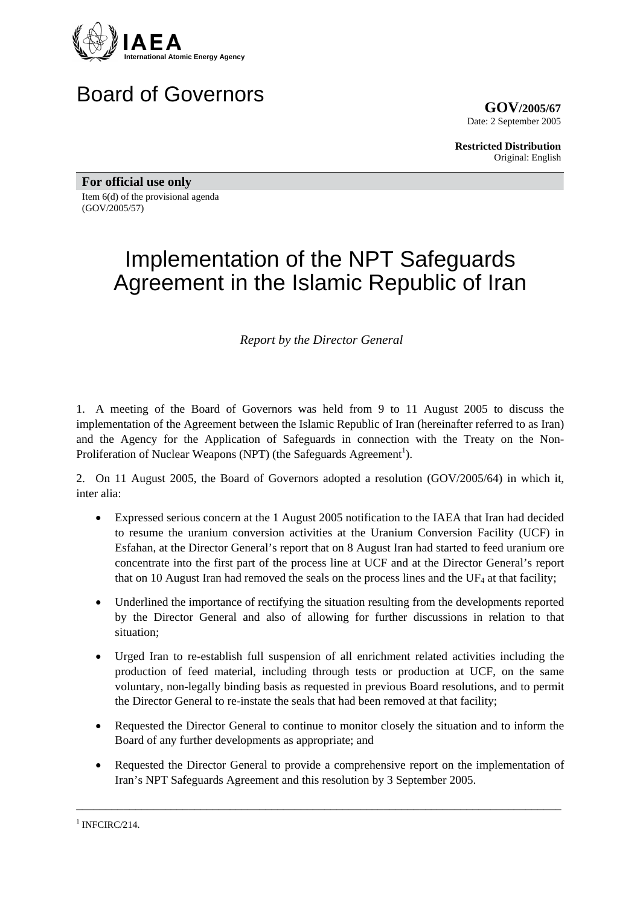

# Board of Governors

**GOV/2005/67** Date: 2 September 2005

**Restricted Distribution** Original: English

**For official use only**  Item 6(d) of the provisional agenda (GOV/2005/57)

# Implementation of the NPT Safeguards Agreement in the Islamic Republic of Iran

*Report by the Director General* 

1. A meeting of the Board of Governors was held from 9 to 11 August 2005 to discuss the implementation of the Agreement between the Islamic Republic of Iran (hereinafter referred to as Iran) and the Agency for the Application of Safeguards in connection with the Treaty on the Non-Proliferation of Nuclear Weapons (NPT) (the Safeguards Agreement<sup>[1](#page-0-0)</sup>).

2. On 11 August 2005, the Board of Governors adopted a resolution (GOV/2005/64) in which it, inter alia:

- Expressed serious concern at the 1 August 2005 notification to the IAEA that Iran had decided to resume the uranium conversion activities at the Uranium Conversion Facility (UCF) in Esfahan, at the Director General's report that on 8 August Iran had started to feed uranium ore concentrate into the first part of the process line at UCF and at the Director General's report that on 10 August Iran had removed the seals on the process lines and the  $UF<sub>4</sub>$  at that facility;
- Underlined the importance of rectifying the situation resulting from the developments reported by the Director General and also of allowing for further discussions in relation to that situation;
- Urged Iran to re-establish full suspension of all enrichment related activities including the production of feed material, including through tests or production at UCF, on the same voluntary, non-legally binding basis as requested in previous Board resolutions, and to permit the Director General to re-instate the seals that had been removed at that facility;
- Requested the Director General to continue to monitor closely the situation and to inform the Board of any further developments as appropriate; and
- Requested the Director General to provide a comprehensive report on the implementation of Iran's NPT Safeguards Agreement and this resolution by 3 September 2005.

\_\_\_\_\_\_\_\_\_\_\_\_\_\_\_\_\_\_\_\_\_\_\_\_\_\_\_\_\_\_\_\_\_\_\_\_\_\_\_\_\_\_\_\_\_\_\_\_\_\_\_\_\_\_\_\_\_\_\_\_\_\_\_\_\_\_\_\_\_\_\_\_\_\_\_\_\_\_\_\_\_\_

<span id="page-0-0"></span> $1$  INFCIRC/214.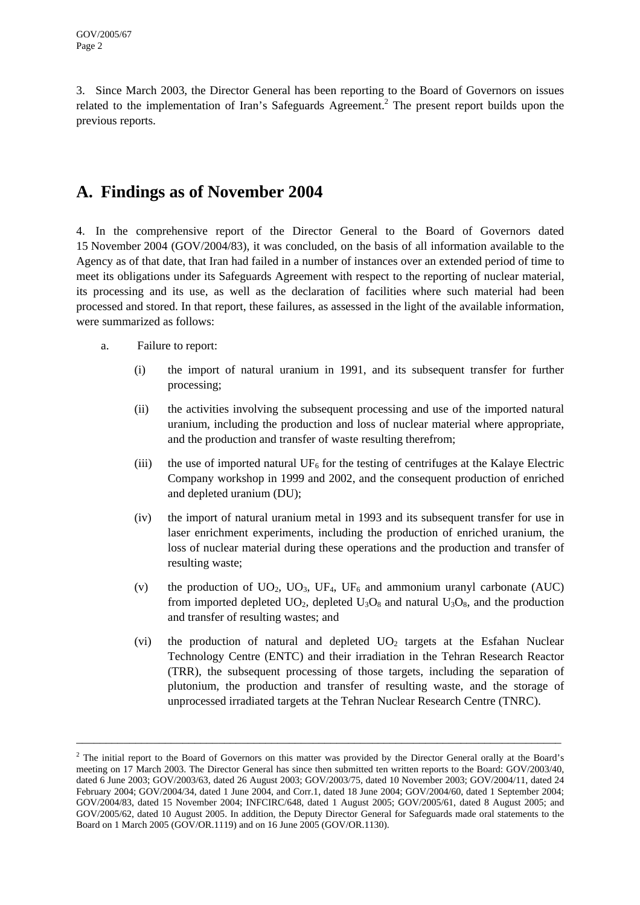3. Since March 2003, the Director General has been reporting to the Board of Governors on issues related to the implementation of Iran's Safeguards Agreement.<sup>[2](#page-1-0)</sup> The present report builds upon the previous reports.

## **A. Findings as of November 2004**

4. In the comprehensive report of the Director General to the Board of Governors dated 15 November 2004 (GOV/2004/83), it was concluded, on the basis of all information available to the Agency as of that date, that Iran had failed in a number of instances over an extended period of time to meet its obligations under its Safeguards Agreement with respect to the reporting of nuclear material, its processing and its use, as well as the declaration of facilities where such material had been processed and stored. In that report, these failures, as assessed in the light of the available information, were summarized as follows:

- a. Failure to report:
	- (i) the import of natural uranium in 1991, and its subsequent transfer for further processing;
	- (ii) the activities involving the subsequent processing and use of the imported natural uranium, including the production and loss of nuclear material where appropriate, and the production and transfer of waste resulting therefrom;
	- (iii) the use of imported natural  $UF_6$  for the testing of centrifuges at the Kalaye Electric Company workshop in 1999 and 2002, and the consequent production of enriched and depleted uranium (DU);
	- (iv) the import of natural uranium metal in 1993 and its subsequent transfer for use in laser enrichment experiments, including the production of enriched uranium, the loss of nuclear material during these operations and the production and transfer of resulting waste;
	- (v) the production of  $UO_2$ ,  $UO_3$ ,  $UF_4$ ,  $UF_6$  and ammonium uranyl carbonate (AUC) from imported depleted  $U_2O_2$ , depleted  $U_3O_8$  and natural  $U_3O_8$ , and the production and transfer of resulting wastes; and
	- (vi) the production of natural and depleted  $UO<sub>2</sub>$  targets at the Esfahan Nuclear Technology Centre (ENTC) and their irradiation in the Tehran Research Reactor (TRR), the subsequent processing of those targets, including the separation of plutonium, the production and transfer of resulting waste, and the storage of unprocessed irradiated targets at the Tehran Nuclear Research Centre (TNRC).

<span id="page-1-0"></span> $2$  The initial report to the Board of Governors on this matter was provided by the Director General orally at the Board's meeting on 17 March 2003. The Director General has since then submitted ten written reports to the Board: GOV/2003/40, dated 6 June 2003; GOV/2003/63, dated 26 August 2003; GOV/2003/75, dated 10 November 2003; GOV/2004/11, dated 24 February 2004; GOV/2004/34, dated 1 June 2004, and Corr.1, dated 18 June 2004; GOV/2004/60, dated 1 September 2004; GOV/2004/83, dated 15 November 2004; INFCIRC/648, dated 1 August 2005; GOV/2005/61, dated 8 August 2005; and GOV/2005/62, dated 10 August 2005. In addition, the Deputy Director General for Safeguards made oral statements to the Board on 1 March 2005 (GOV/OR.1119) and on 16 June 2005 (GOV/OR.1130).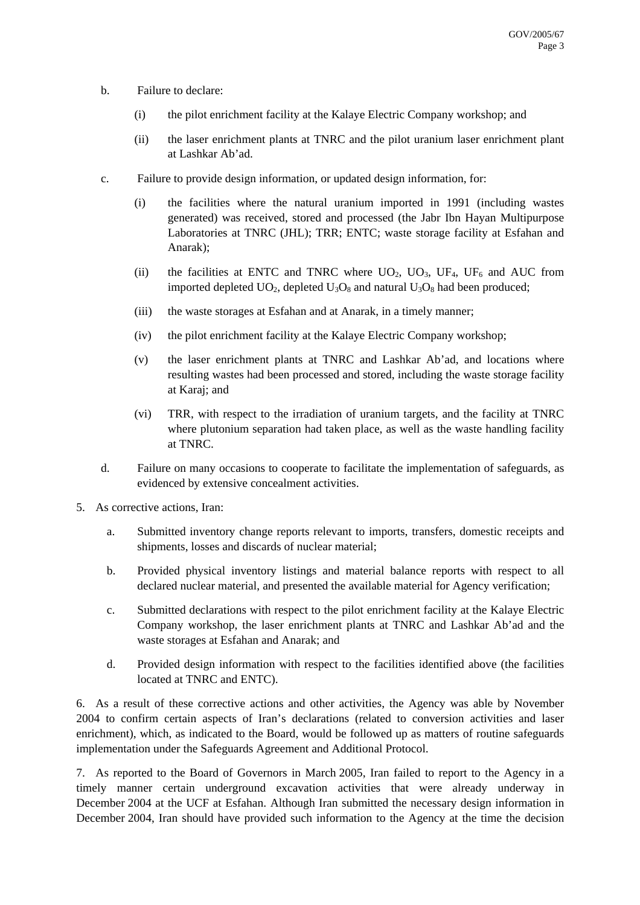- b. Failure to declare:
	- (i) the pilot enrichment facility at the Kalaye Electric Company workshop; and
	- (ii) the laser enrichment plants at TNRC and the pilot uranium laser enrichment plant at Lashkar Ab'ad.
- c. Failure to provide design information, or updated design information, for:
	- (i) the facilities where the natural uranium imported in 1991 (including wastes generated) was received, stored and processed (the Jabr Ibn Hayan Multipurpose Laboratories at TNRC (JHL); TRR; ENTC; waste storage facility at Esfahan and Anarak);
	- (ii) the facilities at ENTC and TNRC where  $UO_2$ ,  $UO_3$ ,  $UF_4$ ,  $UF_6$  and AUC from imported depleted  $UO_2$ , depleted  $U_3O_8$  and natural  $U_3O_8$  had been produced;
	- (iii) the waste storages at Esfahan and at Anarak, in a timely manner;
	- (iv) the pilot enrichment facility at the Kalaye Electric Company workshop;
	- (v) the laser enrichment plants at TNRC and Lashkar Ab'ad, and locations where resulting wastes had been processed and stored, including the waste storage facility at Karaj; and
	- (vi) TRR, with respect to the irradiation of uranium targets, and the facility at TNRC where plutonium separation had taken place, as well as the waste handling facility at TNRC.
- d. Failure on many occasions to cooperate to facilitate the implementation of safeguards, as evidenced by extensive concealment activities.
- 5. As corrective actions, Iran:
	- a. Submitted inventory change reports relevant to imports, transfers, domestic receipts and shipments, losses and discards of nuclear material;
	- b. Provided physical inventory listings and material balance reports with respect to all declared nuclear material, and presented the available material for Agency verification;
	- c. Submitted declarations with respect to the pilot enrichment facility at the Kalaye Electric Company workshop, the laser enrichment plants at TNRC and Lashkar Ab'ad and the waste storages at Esfahan and Anarak; and
	- d. Provided design information with respect to the facilities identified above (the facilities located at TNRC and ENTC).

6. As a result of these corrective actions and other activities, the Agency was able by November 2004 to confirm certain aspects of Iran's declarations (related to conversion activities and laser enrichment), which, as indicated to the Board, would be followed up as matters of routine safeguards implementation under the Safeguards Agreement and Additional Protocol.

7. As reported to the Board of Governors in March 2005, Iran failed to report to the Agency in a timely manner certain underground excavation activities that were already underway in December 2004 at the UCF at Esfahan. Although Iran submitted the necessary design information in December 2004, Iran should have provided such information to the Agency at the time the decision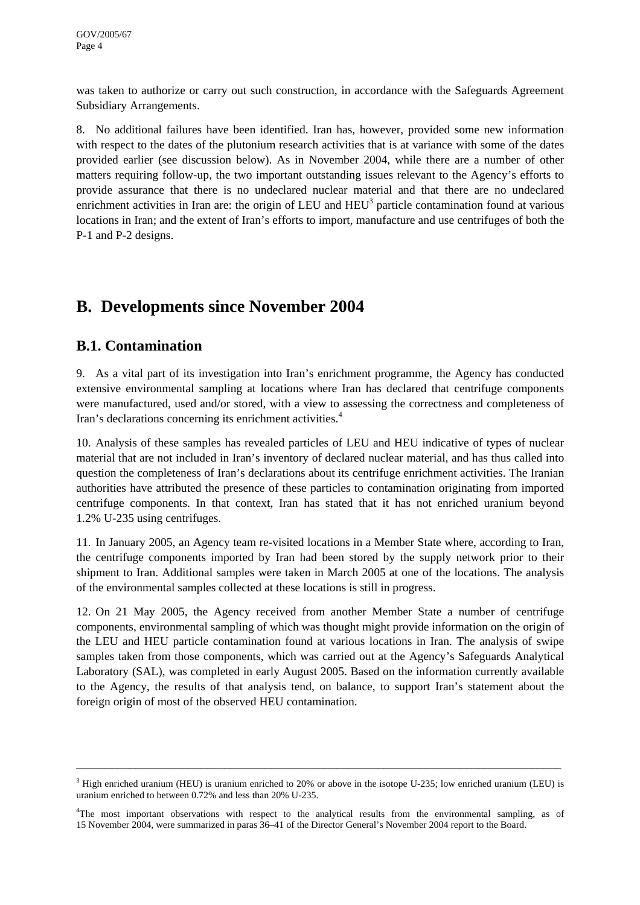was taken to authorize or carry out such construction, in accordance with the Safeguards Agreement Subsidiary Arrangements.

8. No additional failures have been identified. Iran has, however, provided some new information with respect to the dates of the plutonium research activities that is at variance with some of the dates provided earlier (see discussion below). As in November 2004, while there are a number of other matters requiring follow-up, the two important outstanding issues relevant to the Agency's efforts to provide assurance that there is no undeclared nuclear material and that there are no undeclared enrichment activities in Iran are: the origin of LEU and  $HEU<sup>3</sup>$  $HEU<sup>3</sup>$  $HEU<sup>3</sup>$  particle contamination found at various locations in Iran; and the extent of Iran's efforts to import, manufacture and use centrifuges of both the P-1 and P-2 designs.

# **B. Developments since November 2004**

## **B.1. Contamination**

9. As a vital part of its investigation into Iran's enrichment programme, the Agency has conducted extensive environmental sampling at locations where Iran has declared that centrifuge components were manufactured, used and/or stored, with a view to assessing the correctness and completeness of Iran's declarations concerning its enrichment activities.<sup>[4](#page-3-1)</sup>

10. Analysis of these samples has revealed particles of LEU and HEU indicative of types of nuclear material that are not included in Iran's inventory of declared nuclear material, and has thus called into question the completeness of Iran's declarations about its centrifuge enrichment activities. The Iranian authorities have attributed the presence of these particles to contamination originating from imported centrifuge components. In that context, Iran has stated that it has not enriched uranium beyond 1.2% U-235 using centrifuges.

11. In January 2005, an Agency team re-visited locations in a Member State where, according to Iran, the centrifuge components imported by Iran had been stored by the supply network prior to their shipment to Iran. Additional samples were taken in March 2005 at one of the locations. The analysis of the environmental samples collected at these locations is still in progress.

12. On 21 May 2005, the Agency received from another Member State a number of centrifuge components, environmental sampling of which was thought might provide information on the origin of the LEU and HEU particle contamination found at various locations in Iran. The analysis of swipe samples taken from those components, which was carried out at the Agency's Safeguards Analytical Laboratory (SAL), was completed in early August 2005. Based on the information currently available to the Agency, the results of that analysis tend, on balance, to support Iran's statement about the foreign origin of most of the observed HEU contamination.

 $3$  High enriched uranium (HEU) is uranium enriched to 20% or above in the isotope U-235; low enriched uranium (LEU) is uranium enriched to between 0.72% and less than 20% U-235.

<span id="page-3-1"></span><span id="page-3-0"></span><sup>&</sup>lt;sup>4</sup>The most important observations with respect to the analytical results from the environmental sampling, as of 15 November 2004, were summarized in paras 36–41 of the Director General's November 2004 report to the Board.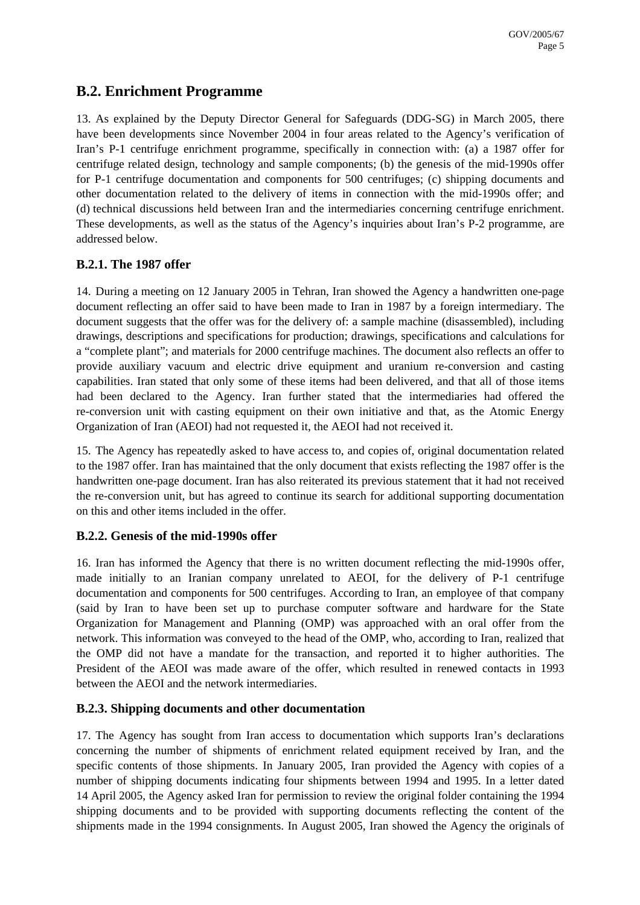#### **B.2. Enrichment Programme**

13. As explained by the Deputy Director General for Safeguards (DDG-SG) in March 2005, there have been developments since November 2004 in four areas related to the Agency's verification of Iran's P-1 centrifuge enrichment programme, specifically in connection with: (a) a 1987 offer for centrifuge related design, technology and sample components; (b) the genesis of the mid-1990s offer for P-1 centrifuge documentation and components for 500 centrifuges; (c) shipping documents and other documentation related to the delivery of items in connection with the mid-1990s offer; and (d) technical discussions held between Iran and the intermediaries concerning centrifuge enrichment. These developments, as well as the status of the Agency's inquiries about Iran's P-2 programme, are addressed below.

#### **B.2.1. The 1987 offer**

14. During a meeting on 12 January 2005 in Tehran, Iran showed the Agency a handwritten one-page document reflecting an offer said to have been made to Iran in 1987 by a foreign intermediary. The document suggests that the offer was for the delivery of: a sample machine (disassembled), including drawings, descriptions and specifications for production; drawings, specifications and calculations for a "complete plant"; and materials for 2000 centrifuge machines. The document also reflects an offer to provide auxiliary vacuum and electric drive equipment and uranium re-conversion and casting capabilities. Iran stated that only some of these items had been delivered, and that all of those items had been declared to the Agency. Iran further stated that the intermediaries had offered the re-conversion unit with casting equipment on their own initiative and that, as the Atomic Energy Organization of Iran (AEOI) had not requested it, the AEOI had not received it.

15. The Agency has repeatedly asked to have access to, and copies of, original documentation related to the 1987 offer. Iran has maintained that the only document that exists reflecting the 1987 offer is the handwritten one-page document. Iran has also reiterated its previous statement that it had not received the re-conversion unit, but has agreed to continue its search for additional supporting documentation on this and other items included in the offer.

#### **B.2.2. Genesis of the mid-1990s offer**

16. Iran has informed the Agency that there is no written document reflecting the mid-1990s offer, made initially to an Iranian company unrelated to AEOI, for the delivery of P-1 centrifuge documentation and components for 500 centrifuges. According to Iran, an employee of that company (said by Iran to have been set up to purchase computer software and hardware for the State Organization for Management and Planning (OMP) was approached with an oral offer from the network. This information was conveyed to the head of the OMP, who, according to Iran, realized that the OMP did not have a mandate for the transaction, and reported it to higher authorities. The President of the AEOI was made aware of the offer, which resulted in renewed contacts in 1993 between the AEOI and the network intermediaries.

#### **B.2.3. Shipping documents and other documentation**

17. The Agency has sought from Iran access to documentation which supports Iran's declarations concerning the number of shipments of enrichment related equipment received by Iran, and the specific contents of those shipments. In January 2005, Iran provided the Agency with copies of a number of shipping documents indicating four shipments between 1994 and 1995. In a letter dated 14 April 2005, the Agency asked Iran for permission to review the original folder containing the 1994 shipping documents and to be provided with supporting documents reflecting the content of the shipments made in the 1994 consignments. In August 2005, Iran showed the Agency the originals of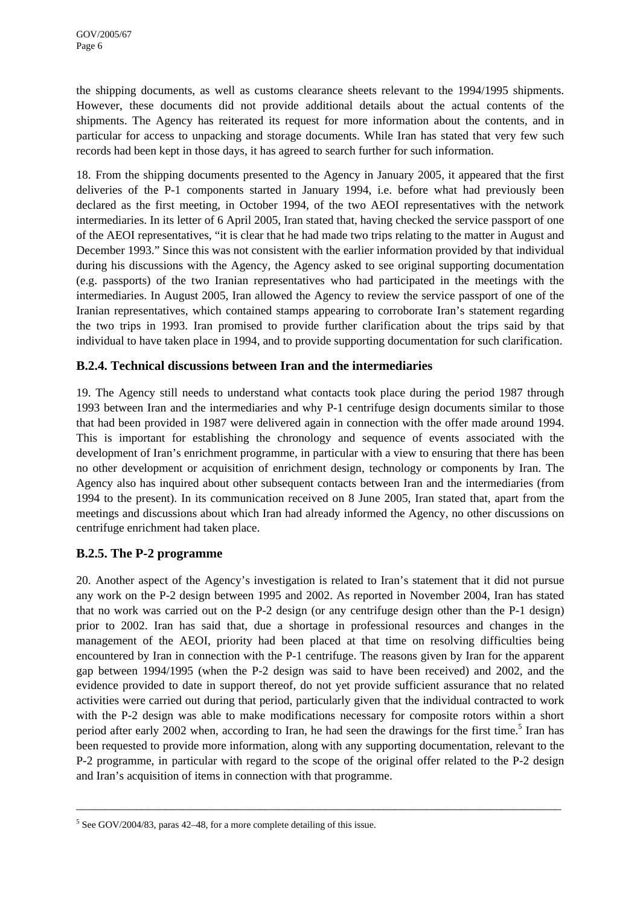the shipping documents, as well as customs clearance sheets relevant to the 1994/1995 shipments. However, these documents did not provide additional details about the actual contents of the shipments. The Agency has reiterated its request for more information about the contents, and in particular for access to unpacking and storage documents. While Iran has stated that very few such records had been kept in those days, it has agreed to search further for such information.

18. From the shipping documents presented to the Agency in January 2005, it appeared that the first deliveries of the P-1 components started in January 1994, i.e. before what had previously been declared as the first meeting, in October 1994, of the two AEOI representatives with the network intermediaries. In its letter of 6 April 2005, Iran stated that, having checked the service passport of one of the AEOI representatives, "it is clear that he had made two trips relating to the matter in August and December 1993." Since this was not consistent with the earlier information provided by that individual during his discussions with the Agency, the Agency asked to see original supporting documentation (e.g. passports) of the two Iranian representatives who had participated in the meetings with the intermediaries. In August 2005, Iran allowed the Agency to review the service passport of one of the Iranian representatives, which contained stamps appearing to corroborate Iran's statement regarding the two trips in 1993. Iran promised to provide further clarification about the trips said by that individual to have taken place in 1994, and to provide supporting documentation for such clarification.

#### **B.2.4. Technical discussions between Iran and the intermediaries**

19. The Agency still needs to understand what contacts took place during the period 1987 through 1993 between Iran and the intermediaries and why P-1 centrifuge design documents similar to those that had been provided in 1987 were delivered again in connection with the offer made around 1994. This is important for establishing the chronology and sequence of events associated with the development of Iran's enrichment programme, in particular with a view to ensuring that there has been no other development or acquisition of enrichment design, technology or components by Iran. The Agency also has inquired about other subsequent contacts between Iran and the intermediaries (from 1994 to the present). In its communication received on 8 June 2005, Iran stated that, apart from the meetings and discussions about which Iran had already informed the Agency, no other discussions on centrifuge enrichment had taken place.

#### **B.2.5. The P-2 programme**

20. Another aspect of the Agency's investigation is related to Iran's statement that it did not pursue any work on the P-2 design between 1995 and 2002. As reported in November 2004, Iran has stated that no work was carried out on the P-2 design (or any centrifuge design other than the P-1 design) prior to 2002. Iran has said that, due a shortage in professional resources and changes in the management of the AEOI, priority had been placed at that time on resolving difficulties being encountered by Iran in connection with the P-1 centrifuge. The reasons given by Iran for the apparent gap between 1994/1995 (when the P-2 design was said to have been received) and 2002, and the evidence provided to date in support thereof, do not yet provide sufficient assurance that no related activities were carried out during that period, particularly given that the individual contracted to work with the P-2 design was able to make modifications necessary for composite rotors within a short period after early 2002 when, according to Iran, he had seen the drawings for the first time.<sup>[5](#page-5-0)</sup> Iran has been requested to provide more information, along with any supporting documentation, relevant to the P-2 programme, in particular with regard to the scope of the original offer related to the P-2 design and Iran's acquisition of items in connection with that programme.

<span id="page-5-0"></span> $5$  See GOV/2004/83, paras 42–48, for a more complete detailing of this issue.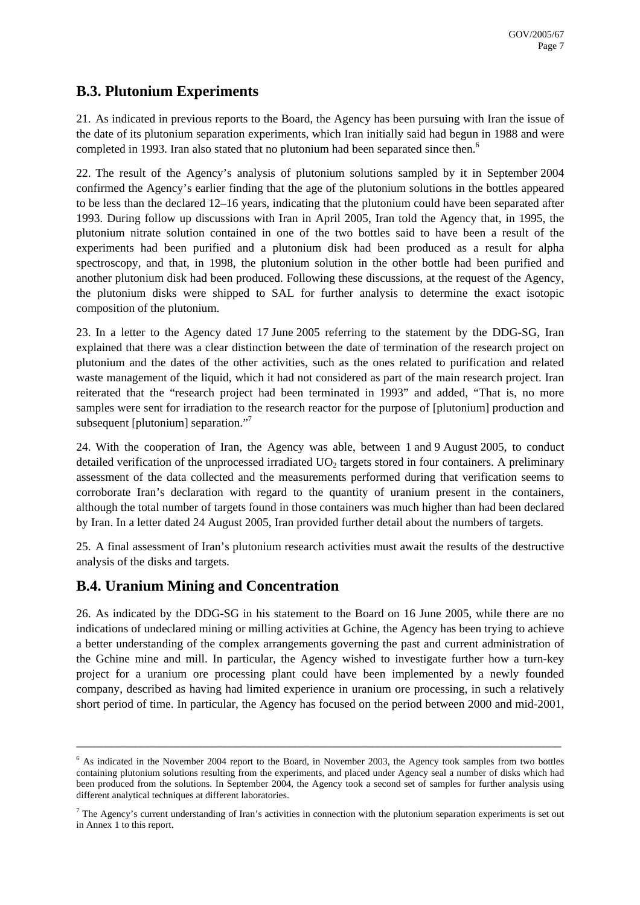## **B.3. Plutonium Experiments**

21. As indicated in previous reports to the Board, the Agency has been pursuing with Iran the issue of the date of its plutonium separation experiments, which Iran initially said had begun in 1988 and were completed in 1993. Iran also stated that no plutonium had been separated since then.<sup>[6](#page-6-0)</sup>

22. The result of the Agency's analysis of plutonium solutions sampled by it in September 2004 confirmed the Agency's earlier finding that the age of the plutonium solutions in the bottles appeared to be less than the declared 12–16 years, indicating that the plutonium could have been separated after 1993. During follow up discussions with Iran in April 2005, Iran told the Agency that, in 1995, the plutonium nitrate solution contained in one of the two bottles said to have been a result of the experiments had been purified and a plutonium disk had been produced as a result for alpha spectroscopy, and that, in 1998, the plutonium solution in the other bottle had been purified and another plutonium disk had been produced. Following these discussions, at the request of the Agency, the plutonium disks were shipped to SAL for further analysis to determine the exact isotopic composition of the plutonium.

23. In a letter to the Agency dated 17 June 2005 referring to the statement by the DDG-SG, Iran explained that there was a clear distinction between the date of termination of the research project on plutonium and the dates of the other activities, such as the ones related to purification and related waste management of the liquid, which it had not considered as part of the main research project. Iran reiterated that the "research project had been terminated in 1993" and added, "That is, no more samples were sent for irradiation to the research reactor for the purpose of [plutonium] production and subsequent [plutonium] separation."<sup>[7](#page-6-1)</sup>

24. With the cooperation of Iran, the Agency was able, between 1 and 9 August 2005, to conduct detailed verification of the unprocessed irradiated  $UO<sub>2</sub>$  targets stored in four containers. A preliminary assessment of the data collected and the measurements performed during that verification seems to corroborate Iran's declaration with regard to the quantity of uranium present in the containers, although the total number of targets found in those containers was much higher than had been declared by Iran. In a letter dated 24 August 2005, Iran provided further detail about the numbers of targets.

25. A final assessment of Iran's plutonium research activities must await the results of the destructive analysis of the disks and targets.

## **B.4. Uranium Mining and Concentration**

26. As indicated by the DDG-SG in his statement to the Board on 16 June 2005, while there are no indications of undeclared mining or milling activities at Gchine, the Agency has been trying to achieve a better understanding of the complex arrangements governing the past and current administration of the Gchine mine and mill. In particular, the Agency wished to investigate further how a turn-key project for a uranium ore processing plant could have been implemented by a newly founded company, described as having had limited experience in uranium ore processing, in such a relatively short period of time. In particular, the Agency has focused on the period between 2000 and mid-2001,

<sup>&</sup>lt;sup>6</sup> As indicated in the November 2004 report to the Board, in November 2003, the Agency took samples from two bottles containing plutonium solutions resulting from the experiments, and placed under Agency seal a number of disks which had been produced from the solutions. In September 2004, the Agency took a second set of samples for further analysis using different analytical techniques at different laboratories.

<span id="page-6-1"></span><span id="page-6-0"></span> $7$  The Agency's current understanding of Iran's activities in connection with the plutonium separation experiments is set out in Annex 1 to this report.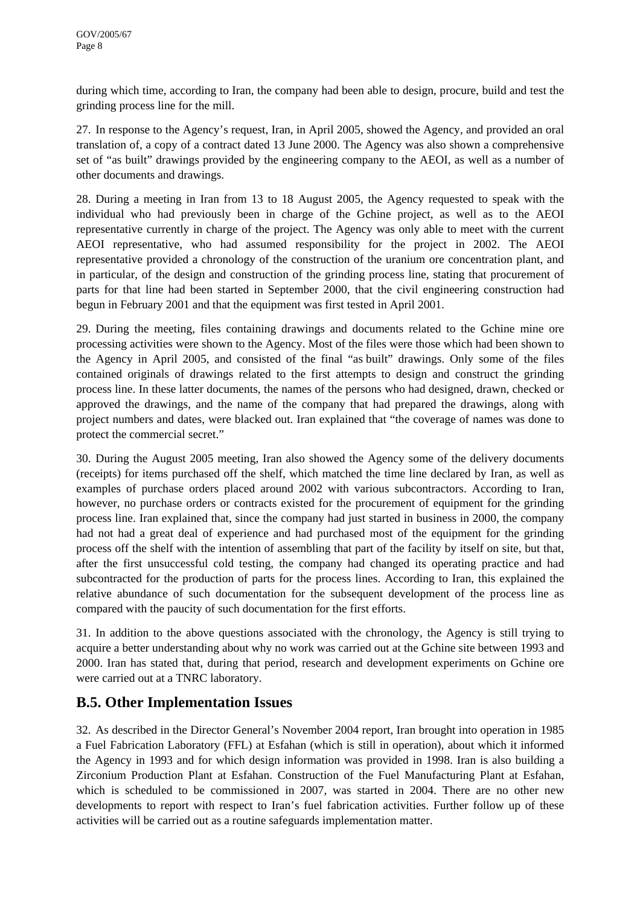during which time, according to Iran, the company had been able to design, procure, build and test the grinding process line for the mill.

27. In response to the Agency's request, Iran, in April 2005, showed the Agency, and provided an oral translation of, a copy of a contract dated 13 June 2000. The Agency was also shown a comprehensive set of "as built" drawings provided by the engineering company to the AEOI, as well as a number of other documents and drawings.

28. During a meeting in Iran from 13 to 18 August 2005, the Agency requested to speak with the individual who had previously been in charge of the Gchine project, as well as to the AEOI representative currently in charge of the project. The Agency was only able to meet with the current AEOI representative, who had assumed responsibility for the project in 2002. The AEOI representative provided a chronology of the construction of the uranium ore concentration plant, and in particular, of the design and construction of the grinding process line, stating that procurement of parts for that line had been started in September 2000, that the civil engineering construction had begun in February 2001 and that the equipment was first tested in April 2001.

29. During the meeting, files containing drawings and documents related to the Gchine mine ore processing activities were shown to the Agency. Most of the files were those which had been shown to the Agency in April 2005, and consisted of the final "as built" drawings. Only some of the files contained originals of drawings related to the first attempts to design and construct the grinding process line. In these latter documents, the names of the persons who had designed, drawn, checked or approved the drawings, and the name of the company that had prepared the drawings, along with project numbers and dates, were blacked out. Iran explained that "the coverage of names was done to protect the commercial secret."

30. During the August 2005 meeting, Iran also showed the Agency some of the delivery documents (receipts) for items purchased off the shelf, which matched the time line declared by Iran, as well as examples of purchase orders placed around 2002 with various subcontractors. According to Iran, however, no purchase orders or contracts existed for the procurement of equipment for the grinding process line. Iran explained that, since the company had just started in business in 2000, the company had not had a great deal of experience and had purchased most of the equipment for the grinding process off the shelf with the intention of assembling that part of the facility by itself on site, but that, after the first unsuccessful cold testing, the company had changed its operating practice and had subcontracted for the production of parts for the process lines. According to Iran, this explained the relative abundance of such documentation for the subsequent development of the process line as compared with the paucity of such documentation for the first efforts.

31. In addition to the above questions associated with the chronology, the Agency is still trying to acquire a better understanding about why no work was carried out at the Gchine site between 1993 and 2000. Iran has stated that, during that period, research and development experiments on Gchine ore were carried out at a TNRC laboratory.

## **B.5. Other Implementation Issues**

32. As described in the Director General's November 2004 report, Iran brought into operation in 1985 a Fuel Fabrication Laboratory (FFL) at Esfahan (which is still in operation), about which it informed the Agency in 1993 and for which design information was provided in 1998. Iran is also building a Zirconium Production Plant at Esfahan. Construction of the Fuel Manufacturing Plant at Esfahan, which is scheduled to be commissioned in 2007, was started in 2004. There are no other new developments to report with respect to Iran's fuel fabrication activities. Further follow up of these activities will be carried out as a routine safeguards implementation matter.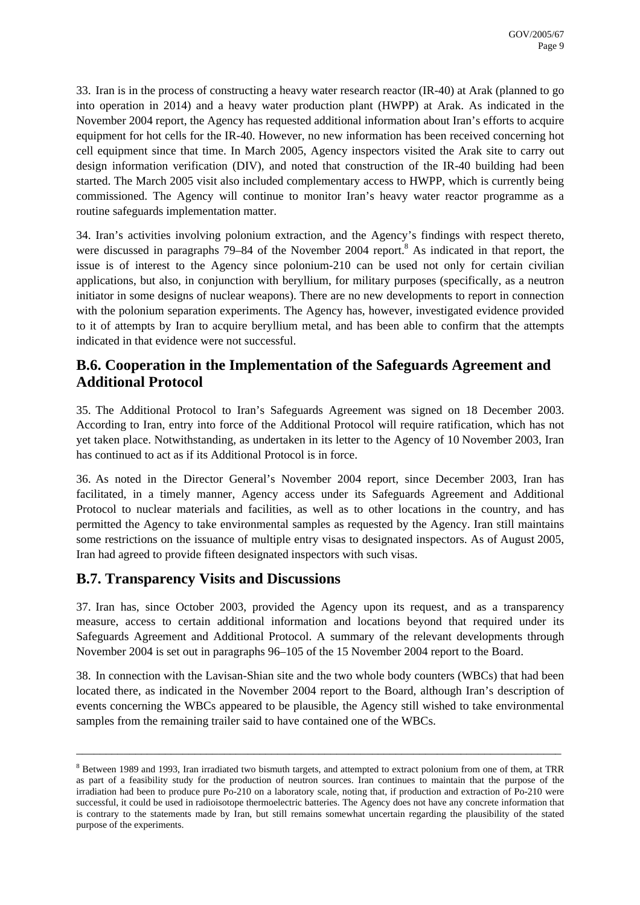33. Iran is in the process of constructing a heavy water research reactor (IR-40) at Arak (planned to go into operation in 2014) and a heavy water production plant (HWPP) at Arak. As indicated in the November 2004 report, the Agency has requested additional information about Iran's efforts to acquire equipment for hot cells for the IR-40. However, no new information has been received concerning hot cell equipment since that time. In March 2005, Agency inspectors visited the Arak site to carry out design information verification (DIV), and noted that construction of the IR-40 building had been started. The March 2005 visit also included complementary access to HWPP, which is currently being commissioned. The Agency will continue to monitor Iran's heavy water reactor programme as a routine safeguards implementation matter.

34. Iran's activities involving polonium extraction, and the Agency's findings with respect thereto, were discussed in paragraphs 79–[8](#page-8-0)4 of the November 2004 report.<sup>8</sup> As indicated in that report, the issue is of interest to the Agency since polonium-210 can be used not only for certain civilian applications, but also, in conjunction with beryllium, for military purposes (specifically, as a neutron initiator in some designs of nuclear weapons). There are no new developments to report in connection with the polonium separation experiments. The Agency has, however, investigated evidence provided to it of attempts by Iran to acquire beryllium metal, and has been able to confirm that the attempts indicated in that evidence were not successful.

## **B.6. Cooperation in the Implementation of the Safeguards Agreement and Additional Protocol**

35. The Additional Protocol to Iran's Safeguards Agreement was signed on 18 December 2003. According to Iran, entry into force of the Additional Protocol will require ratification, which has not yet taken place. Notwithstanding, as undertaken in its letter to the Agency of 10 November 2003, Iran has continued to act as if its Additional Protocol is in force.

36. As noted in the Director General's November 2004 report, since December 2003, Iran has facilitated, in a timely manner, Agency access under its Safeguards Agreement and Additional Protocol to nuclear materials and facilities, as well as to other locations in the country, and has permitted the Agency to take environmental samples as requested by the Agency. Iran still maintains some restrictions on the issuance of multiple entry visas to designated inspectors. As of August 2005, Iran had agreed to provide fifteen designated inspectors with such visas.

## **B.7. Transparency Visits and Discussions**

37. Iran has, since October 2003, provided the Agency upon its request, and as a transparency measure, access to certain additional information and locations beyond that required under its Safeguards Agreement and Additional Protocol. A summary of the relevant developments through November 2004 is set out in paragraphs 96–105 of the 15 November 2004 report to the Board.

38. In connection with the Lavisan-Shian site and the two whole body counters (WBCs) that had been located there, as indicated in the November 2004 report to the Board, although Iran's description of events concerning the WBCs appeared to be plausible, the Agency still wished to take environmental samples from the remaining trailer said to have contained one of the WBCs.

<span id="page-8-0"></span><sup>&</sup>lt;sup>8</sup> Between 1989 and 1993, Iran irradiated two bismuth targets, and attempted to extract polonium from one of them, at TRR as part of a feasibility study for the production of neutron sources. Iran continues to maintain that the purpose of the irradiation had been to produce pure Po-210 on a laboratory scale, noting that, if production and extraction of Po-210 were successful, it could be used in radioisotope thermoelectric batteries. The Agency does not have any concrete information that is contrary to the statements made by Iran, but still remains somewhat uncertain regarding the plausibility of the stated purpose of the experiments.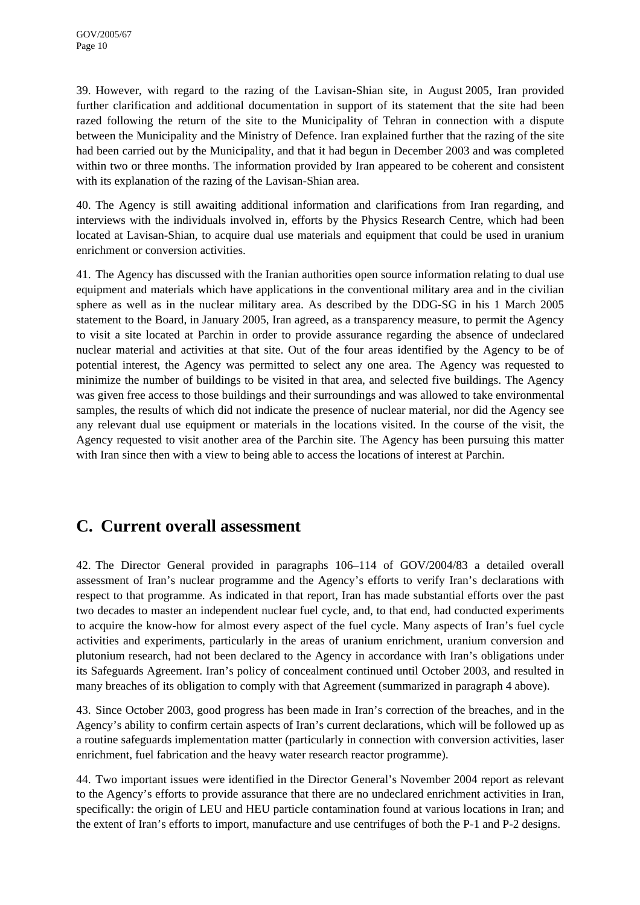39. However, with regard to the razing of the Lavisan-Shian site, in August 2005, Iran provided further clarification and additional documentation in support of its statement that the site had been razed following the return of the site to the Municipality of Tehran in connection with a dispute between the Municipality and the Ministry of Defence. Iran explained further that the razing of the site had been carried out by the Municipality, and that it had begun in December 2003 and was completed within two or three months. The information provided by Iran appeared to be coherent and consistent with its explanation of the razing of the Lavisan-Shian area.

40. The Agency is still awaiting additional information and clarifications from Iran regarding, and interviews with the individuals involved in, efforts by the Physics Research Centre, which had been located at Lavisan-Shian, to acquire dual use materials and equipment that could be used in uranium enrichment or conversion activities.

41. The Agency has discussed with the Iranian authorities open source information relating to dual use equipment and materials which have applications in the conventional military area and in the civilian sphere as well as in the nuclear military area. As described by the DDG-SG in his 1 March 2005 statement to the Board, in January 2005, Iran agreed, as a transparency measure, to permit the Agency to visit a site located at Parchin in order to provide assurance regarding the absence of undeclared nuclear material and activities at that site. Out of the four areas identified by the Agency to be of potential interest, the Agency was permitted to select any one area. The Agency was requested to minimize the number of buildings to be visited in that area, and selected five buildings. The Agency was given free access to those buildings and their surroundings and was allowed to take environmental samples, the results of which did not indicate the presence of nuclear material, nor did the Agency see any relevant dual use equipment or materials in the locations visited. In the course of the visit, the Agency requested to visit another area of the Parchin site. The Agency has been pursuing this matter with Iran since then with a view to being able to access the locations of interest at Parchin.

# **C. Current overall assessment**

42. The Director General provided in paragraphs 106–114 of GOV/2004/83 a detailed overall assessment of Iran's nuclear programme and the Agency's efforts to verify Iran's declarations with respect to that programme. As indicated in that report, Iran has made substantial efforts over the past two decades to master an independent nuclear fuel cycle, and, to that end, had conducted experiments to acquire the know-how for almost every aspect of the fuel cycle. Many aspects of Iran's fuel cycle activities and experiments, particularly in the areas of uranium enrichment, uranium conversion and plutonium research, had not been declared to the Agency in accordance with Iran's obligations under its Safeguards Agreement. Iran's policy of concealment continued until October 2003, and resulted in many breaches of its obligation to comply with that Agreement (summarized in paragraph 4 above).

43. Since October 2003, good progress has been made in Iran's correction of the breaches, and in the Agency's ability to confirm certain aspects of Iran's current declarations, which will be followed up as a routine safeguards implementation matter (particularly in connection with conversion activities, laser enrichment, fuel fabrication and the heavy water research reactor programme).

44. Two important issues were identified in the Director General's November 2004 report as relevant to the Agency's efforts to provide assurance that there are no undeclared enrichment activities in Iran, specifically: the origin of LEU and HEU particle contamination found at various locations in Iran; and the extent of Iran's efforts to import, manufacture and use centrifuges of both the P-1 and P-2 designs.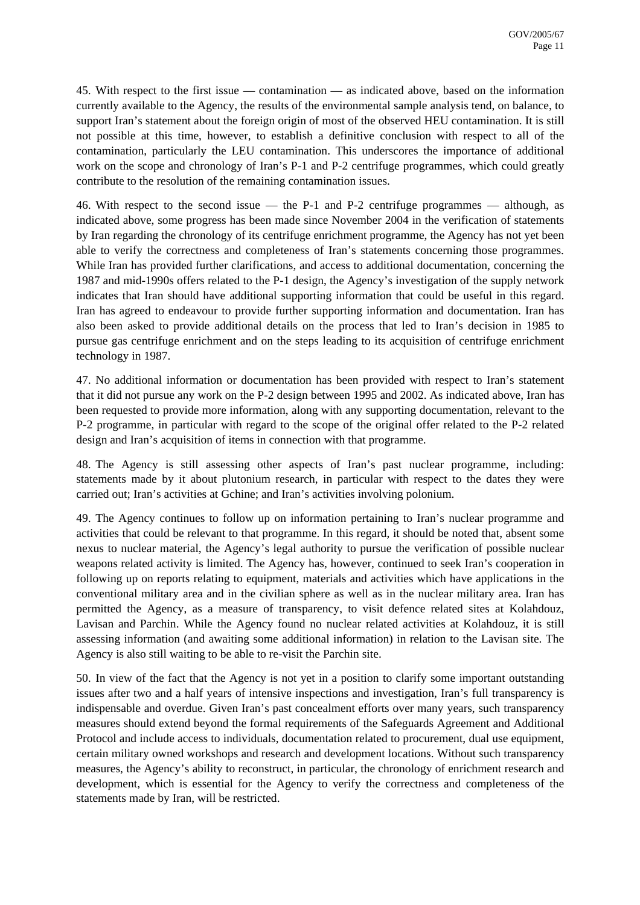45. With respect to the first issue — contamination — as indicated above, based on the information currently available to the Agency, the results of the environmental sample analysis tend, on balance, to support Iran's statement about the foreign origin of most of the observed HEU contamination. It is still not possible at this time, however, to establish a definitive conclusion with respect to all of the contamination, particularly the LEU contamination. This underscores the importance of additional work on the scope and chronology of Iran's P-1 and P-2 centrifuge programmes, which could greatly contribute to the resolution of the remaining contamination issues.

46. With respect to the second issue — the P-1 and P-2 centrifuge programmes — although, as indicated above, some progress has been made since November 2004 in the verification of statements by Iran regarding the chronology of its centrifuge enrichment programme, the Agency has not yet been able to verify the correctness and completeness of Iran's statements concerning those programmes. While Iran has provided further clarifications, and access to additional documentation, concerning the 1987 and mid-1990s offers related to the P-1 design, the Agency's investigation of the supply network indicates that Iran should have additional supporting information that could be useful in this regard. Iran has agreed to endeavour to provide further supporting information and documentation. Iran has also been asked to provide additional details on the process that led to Iran's decision in 1985 to pursue gas centrifuge enrichment and on the steps leading to its acquisition of centrifuge enrichment technology in 1987.

47. No additional information or documentation has been provided with respect to Iran's statement that it did not pursue any work on the P-2 design between 1995 and 2002. As indicated above, Iran has been requested to provide more information, along with any supporting documentation, relevant to the P-2 programme, in particular with regard to the scope of the original offer related to the P-2 related design and Iran's acquisition of items in connection with that programme.

48. The Agency is still assessing other aspects of Iran's past nuclear programme, including: statements made by it about plutonium research, in particular with respect to the dates they were carried out; Iran's activities at Gchine; and Iran's activities involving polonium.

49. The Agency continues to follow up on information pertaining to Iran's nuclear programme and activities that could be relevant to that programme. In this regard, it should be noted that, absent some nexus to nuclear material, the Agency's legal authority to pursue the verification of possible nuclear weapons related activity is limited. The Agency has, however, continued to seek Iran's cooperation in following up on reports relating to equipment, materials and activities which have applications in the conventional military area and in the civilian sphere as well as in the nuclear military area. Iran has permitted the Agency, as a measure of transparency, to visit defence related sites at Kolahdouz, Lavisan and Parchin. While the Agency found no nuclear related activities at Kolahdouz, it is still assessing information (and awaiting some additional information) in relation to the Lavisan site. The Agency is also still waiting to be able to re-visit the Parchin site.

50. In view of the fact that the Agency is not yet in a position to clarify some important outstanding issues after two and a half years of intensive inspections and investigation, Iran's full transparency is indispensable and overdue. Given Iran's past concealment efforts over many years, such transparency measures should extend beyond the formal requirements of the Safeguards Agreement and Additional Protocol and include access to individuals, documentation related to procurement, dual use equipment, certain military owned workshops and research and development locations. Without such transparency measures, the Agency's ability to reconstruct, in particular, the chronology of enrichment research and development, which is essential for the Agency to verify the correctness and completeness of the statements made by Iran, will be restricted.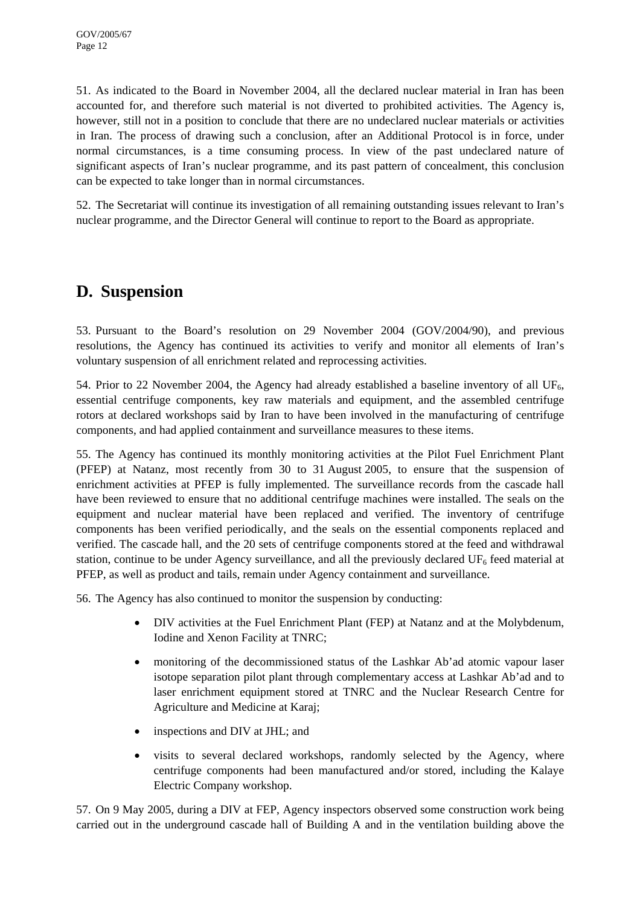51. As indicated to the Board in November 2004, all the declared nuclear material in Iran has been accounted for, and therefore such material is not diverted to prohibited activities. The Agency is, however, still not in a position to conclude that there are no undeclared nuclear materials or activities in Iran. The process of drawing such a conclusion, after an Additional Protocol is in force, under normal circumstances, is a time consuming process. In view of the past undeclared nature of significant aspects of Iran's nuclear programme, and its past pattern of concealment, this conclusion can be expected to take longer than in normal circumstances.

52. The Secretariat will continue its investigation of all remaining outstanding issues relevant to Iran's nuclear programme, and the Director General will continue to report to the Board as appropriate.

## **D. Suspension**

53. Pursuant to the Board's resolution on 29 November 2004 (GOV/2004/90), and previous resolutions, the Agency has continued its activities to verify and monitor all elements of Iran's voluntary suspension of all enrichment related and reprocessing activities.

54. Prior to 22 November 2004, the Agency had already established a baseline inventory of all UF6, essential centrifuge components, key raw materials and equipment, and the assembled centrifuge rotors at declared workshops said by Iran to have been involved in the manufacturing of centrifuge components, and had applied containment and surveillance measures to these items.

55. The Agency has continued its monthly monitoring activities at the Pilot Fuel Enrichment Plant (PFEP) at Natanz, most recently from 30 to 31 August 2005, to ensure that the suspension of enrichment activities at PFEP is fully implemented. The surveillance records from the cascade hall have been reviewed to ensure that no additional centrifuge machines were installed. The seals on the equipment and nuclear material have been replaced and verified. The inventory of centrifuge components has been verified periodically, and the seals on the essential components replaced and verified. The cascade hall, and the 20 sets of centrifuge components stored at the feed and withdrawal station, continue to be under Agency surveillance, and all the previously declared  $UF<sub>6</sub>$  feed material at PFEP, as well as product and tails, remain under Agency containment and surveillance.

56. The Agency has also continued to monitor the suspension by conducting:

- DIV activities at the Fuel Enrichment Plant (FEP) at Natanz and at the Molybdenum, Iodine and Xenon Facility at TNRC;
- monitoring of the decommissioned status of the Lashkar Ab'ad atomic vapour laser isotope separation pilot plant through complementary access at Lashkar Ab'ad and to laser enrichment equipment stored at TNRC and the Nuclear Research Centre for Agriculture and Medicine at Karaj;
- inspections and DIV at JHL; and
- visits to several declared workshops, randomly selected by the Agency, where centrifuge components had been manufactured and/or stored, including the Kalaye Electric Company workshop.

57. On 9 May 2005, during a DIV at FEP, Agency inspectors observed some construction work being carried out in the underground cascade hall of Building A and in the ventilation building above the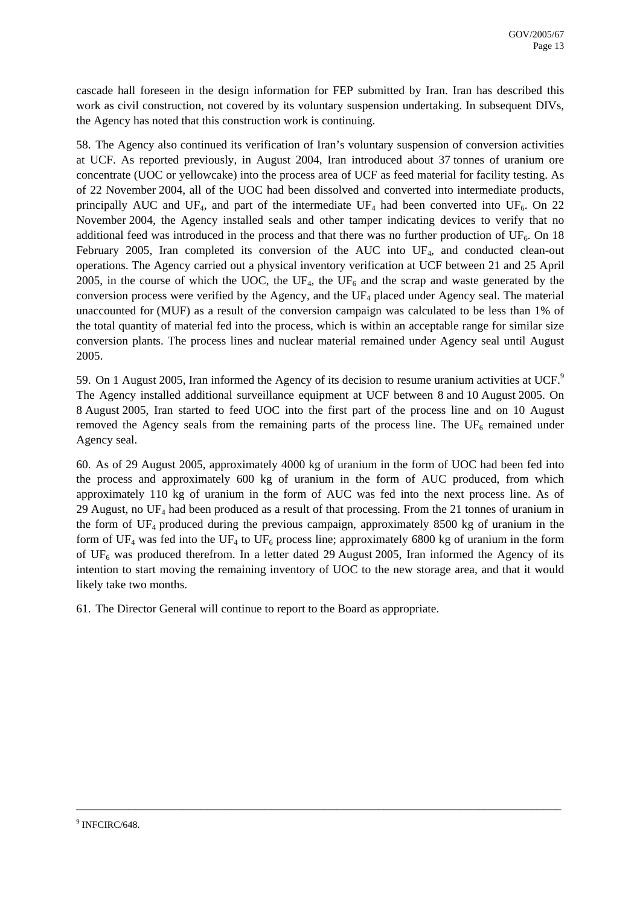cascade hall foreseen in the design information for FEP submitted by Iran. Iran has described this work as civil construction, not covered by its voluntary suspension undertaking. In subsequent DIVs, the Agency has noted that this construction work is continuing.

58. The Agency also continued its verification of Iran's voluntary suspension of conversion activities at UCF. As reported previously, in August 2004, Iran introduced about 37 tonnes of uranium ore concentrate (UOC or yellowcake) into the process area of UCF as feed material for facility testing. As of 22 November 2004, all of the UOC had been dissolved and converted into intermediate products, principally AUC and UF<sub>4</sub>, and part of the intermediate UF<sub>4</sub> had been converted into UF<sub>6</sub>. On 22 November 2004, the Agency installed seals and other tamper indicating devices to verify that no additional feed was introduced in the process and that there was no further production of  $UF_6$ . On 18 February 2005, Iran completed its conversion of the AUC into UF<sub>4</sub>, and conducted clean-out operations. The Agency carried out a physical inventory verification at UCF between 21 and 25 April 2005, in the course of which the UOC, the UF<sub>4</sub>, the UF<sub>6</sub> and the scrap and waste generated by the conversion process were verified by the Agency, and the UF<sub>4</sub> placed under Agency seal. The material unaccounted for (MUF) as a result of the conversion campaign was calculated to be less than 1% of the total quantity of material fed into the process, which is within an acceptable range for similar size conversion plants. The process lines and nuclear material remained under Agency seal until August 2005.

5[9](#page-12-0). On 1 August 2005, Iran informed the Agency of its decision to resume uranium activities at UCF.<sup>9</sup> The Agency installed additional surveillance equipment at UCF between 8 and 10 August 2005. On 8 August 2005, Iran started to feed UOC into the first part of the process line and on 10 August removed the Agency seals from the remaining parts of the process line. The  $UF_6$  remained under Agency seal.

60. As of 29 August 2005, approximately 4000 kg of uranium in the form of UOC had been fed into the process and approximately 600 kg of uranium in the form of AUC produced, from which approximately 110 kg of uranium in the form of AUC was fed into the next process line. As of 29 August, no  $UF_4$  had been produced as a result of that processing. From the 21 tonnes of uranium in the form of UF4 produced during the previous campaign, approximately 8500 kg of uranium in the form of UF<sub>4</sub> was fed into the UF<sub>4</sub> to UF<sub>6</sub> process line; approximately 6800 kg of uranium in the form of  $UF_6$  was produced therefrom. In a letter dated 29 August 2005, Iran informed the Agency of its intention to start moving the remaining inventory of UOC to the new storage area, and that it would likely take two months.

<span id="page-12-0"></span>\_\_\_\_\_\_\_\_\_\_\_\_\_\_\_\_\_\_\_\_\_\_\_\_\_\_\_\_\_\_\_\_\_\_\_\_\_\_\_\_\_\_\_\_\_\_\_\_\_\_\_\_\_\_\_\_\_\_\_\_\_\_\_\_\_\_\_\_\_\_\_\_\_\_\_\_\_\_\_\_\_\_

61. The Director General will continue to report to the Board as appropriate.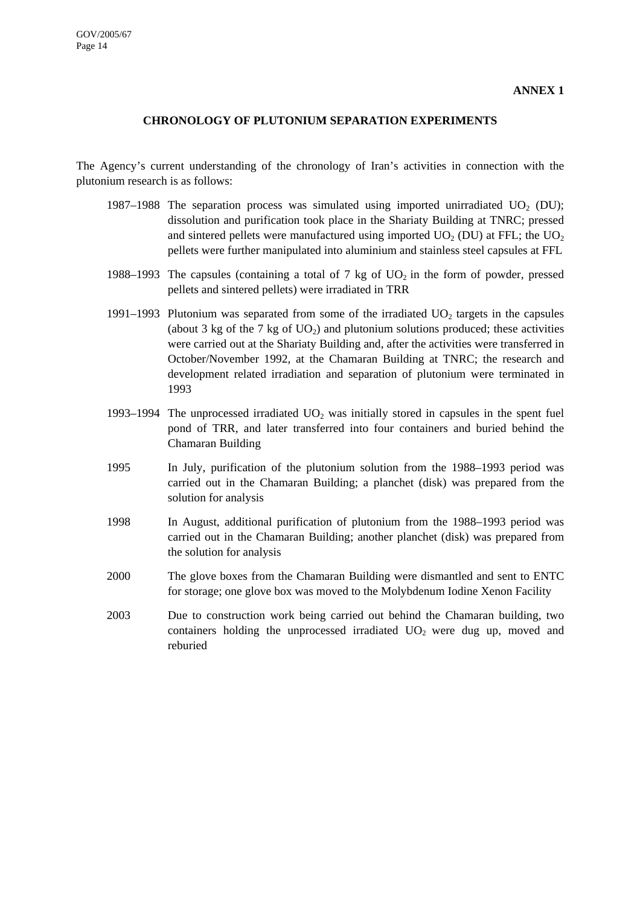#### **CHRONOLOGY OF PLUTONIUM SEPARATION EXPERIMENTS**

The Agency's current understanding of the chronology of Iran's activities in connection with the plutonium research is as follows:

- 1987–1988 The separation process was simulated using imported unirradiated  $UO<sub>2</sub>$  (DU); dissolution and purification took place in the Shariaty Building at TNRC; pressed and sintered pellets were manufactured using imported  $UO<sub>2</sub>$  (DU) at FFL; the  $UO<sub>2</sub>$ pellets were further manipulated into aluminium and stainless steel capsules at FFL
- 1988–1993 The capsules (containing a total of 7 kg of  $UO<sub>2</sub>$  in the form of powder, pressed pellets and sintered pellets) were irradiated in TRR
- 1991–1993 Plutonium was separated from some of the irradiated  $UO<sub>2</sub>$  targets in the capsules (about 3 kg of the 7 kg of  $UO<sub>2</sub>$ ) and plutonium solutions produced; these activities were carried out at the Shariaty Building and, after the activities were transferred in October/November 1992, at the Chamaran Building at TNRC; the research and development related irradiation and separation of plutonium were terminated in 1993
- 1993–1994 The unprocessed irradiated  $UO<sub>2</sub>$  was initially stored in capsules in the spent fuel pond of TRR, and later transferred into four containers and buried behind the Chamaran Building
- 1995 In July, purification of the plutonium solution from the 1988–1993 period was carried out in the Chamaran Building; a planchet (disk) was prepared from the solution for analysis
- 1998 In August, additional purification of plutonium from the 1988–1993 period was carried out in the Chamaran Building; another planchet (disk) was prepared from the solution for analysis
- 2000 The glove boxes from the Chamaran Building were dismantled and sent to ENTC for storage; one glove box was moved to the Molybdenum Iodine Xenon Facility
- 2003 Due to construction work being carried out behind the Chamaran building, two containers holding the unprocessed irradiated  $UO<sub>2</sub>$  were dug up, moved and reburied